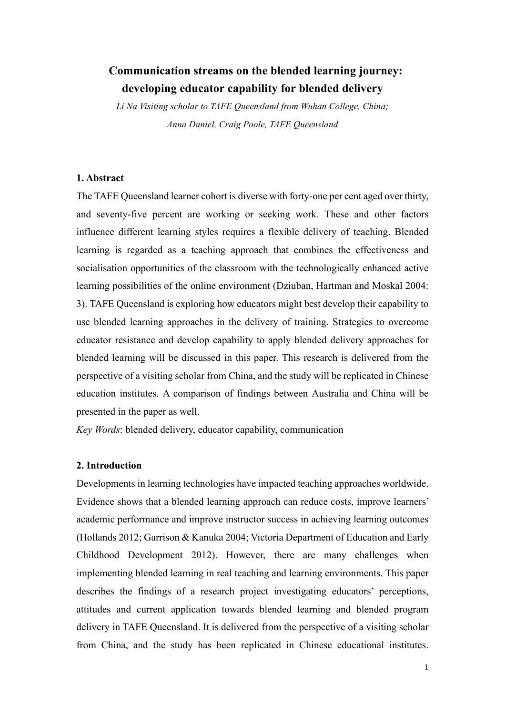# **Communication streams on the blended learning journey: developing educator capability for blended delivery**

*Li Na Visiting scholar to TAFE Queensland from Wuhan College, China; Anna Daniel, Craig Poole, TAFE Queensland*

### **1. Abstract**

The TAFE Queensland learner cohort is diverse with forty-one per cent aged over thirty, and seventy-five percent are working or seeking work. These and other factors influence different learning styles requires a flexible delivery of teaching. Blended learning is regarded as a teaching approach that combines the effectiveness and socialisation opportunities of the classroom with the technologically enhanced active learning possibilities of the online environment (Dziuban, Hartman and Moskal 2004: 3). TAFE Queensland is exploring how educators might best develop their capability to use blended learning approaches in the delivery of training. Strategies to overcome educator resistance and develop capability to apply blended delivery approaches for blended learning will be discussed in this paper. This research is delivered from the perspective of a visiting scholar from China, and the study will be replicated in Chinese education institutes. A comparison of findings between Australia and China will be presented in the paper as well.

*Key Words*: blended delivery, educator capability, communication

# **2. Introduction**

Developments in learning technologies have impacted teaching approaches worldwide. Evidence shows that a blended learning approach can reduce costs, improve learners' academic performance and improve instructor success in achieving learning outcomes (Hollands 2012; Garrison & Kanuka 2004; Victoria Department of Education and Early Childhood Development 2012). However, there are many challenges when implementing blended learning in real teaching and learning environments. This paper describes the findings of a research project investigating educators' perceptions, attitudes and current application towards blended learning and blended program delivery in TAFE Queensland. It is delivered from the perspective of a visiting scholar from China, and the study has been replicated in Chinese educational institutes.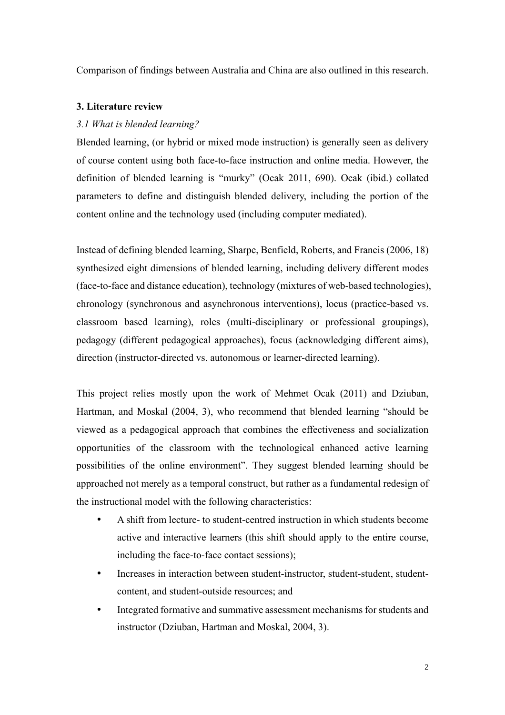Comparison of findings between Australia and China are also outlined in this research.

# **3. Literature review**

# *3.1 What is blended learning?*

Blended learning, (or hybrid or mixed mode instruction) is generally seen as delivery of course content using both face-to-face instruction and online media. However, the definition of blended learning is "murky" (Ocak 2011, 690). Ocak (ibid.) collated parameters to define and distinguish blended delivery, including the portion of the content online and the technology used (including computer mediated).

Instead of defining blended learning, Sharpe, Benfield, Roberts, and Francis (2006, 18) synthesized eight dimensions of blended learning, including delivery different modes (face-to-face and distance education), technology (mixtures of web-based technologies), chronology (synchronous and asynchronous interventions), locus (practice-based vs. classroom based learning), roles (multi-disciplinary or professional groupings), pedagogy (different pedagogical approaches), focus (acknowledging different aims), direction (instructor-directed vs. autonomous or learner-directed learning).

This project relies mostly upon the work of Mehmet Ocak (2011) and Dziuban, Hartman, and Moskal (2004, 3), who recommend that blended learning "should be viewed as a pedagogical approach that combines the effectiveness and socialization opportunities of the classroom with the technological enhanced active learning possibilities of the online environment". They suggest blended learning should be approached not merely as a temporal construct, but rather as a fundamental redesign of the instructional model with the following characteristics:

- A shift from lecture- to student-centred instruction in which students become active and interactive learners (this shift should apply to the entire course, including the face-to-face contact sessions);
- Increases in interaction between student-instructor, student-student, studentcontent, and student-outside resources; and
- Integrated formative and summative assessment mechanisms for students and instructor (Dziuban, Hartman and Moskal, 2004, 3).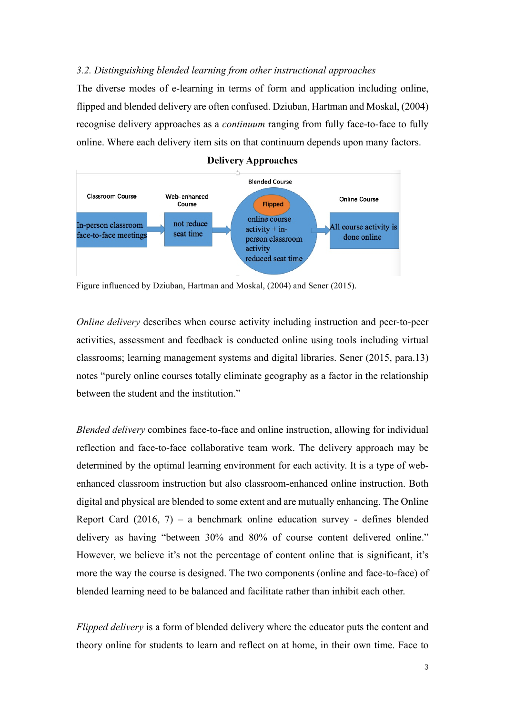# *3.2. Distinguishing blended learning from other instructional approaches*

The diverse modes of e-learning in terms of form and application including online, flipped and blended delivery are often confused. Dziuban, Hartman and Moskal, (2004) recognise delivery approaches as a *continuum* ranging from fully face-to-face to fully online. Where each delivery item sits on that continuum depends upon many factors.



**Delivery Approaches**

Figure influenced by Dziuban, Hartman and Moskal, (2004) and Sener (2015).

*Online delivery* describes when course activity including instruction and peer-to-peer activities, assessment and feedback is conducted online using tools including virtual classrooms; learning management systems and digital libraries. Sener (2015, para.13) notes "purely online courses totally eliminate geography as a factor in the relationship between the student and the institution."

*Blended delivery* combines face-to-face and online instruction, allowing for individual reflection and face-to-face collaborative team work. The delivery approach may be determined by the optimal learning environment for each activity. It is a type of webenhanced classroom instruction but also classroom-enhanced online instruction. Both digital and physical are blended to some extent and are mutually enhancing. The Online Report Card  $(2016, 7)$  – a benchmark online education survey - defines blended delivery as having "between 30% and 80% of course content delivered online." However, we believe it's not the percentage of content online that is significant, it's more the way the course is designed. The two components (online and face-to-face) of blended learning need to be balanced and facilitate rather than inhibit each other.

*Flipped delivery* is a form of blended delivery where the educator puts the content and theory online for students to learn and reflect on at home, in their own time. Face to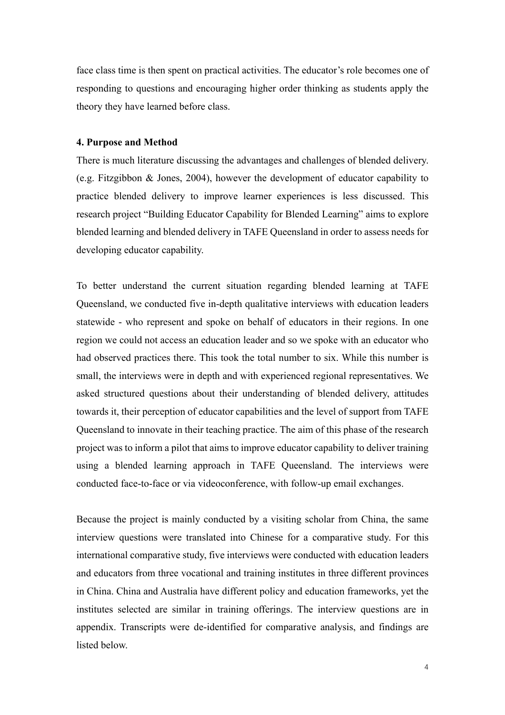face class time is then spent on practical activities. The educator's role becomes one of responding to questions and encouraging higher order thinking as students apply the theory they have learned before class.

#### **4. Purpose and Method**

There is much literature discussing the advantages and challenges of blended delivery. (e.g. Fitzgibbon & Jones, 2004), however the development of educator capability to practice blended delivery to improve learner experiences is less discussed. This research project "Building Educator Capability for Blended Learning" aims to explore blended learning and blended delivery in TAFE Queensland in order to assess needs for developing educator capability.

To better understand the current situation regarding blended learning at TAFE Queensland, we conducted five in-depth qualitative interviews with education leaders statewide - who represent and spoke on behalf of educators in their regions. In one region we could not access an education leader and so we spoke with an educator who had observed practices there. This took the total number to six. While this number is small, the interviews were in depth and with experienced regional representatives. We asked structured questions about their understanding of blended delivery, attitudes towards it, their perception of educator capabilities and the level of support from TAFE Queensland to innovate in their teaching practice. The aim of this phase of the research project was to inform a pilot that aims to improve educator capability to deliver training using a blended learning approach in TAFE Queensland. The interviews were conducted face-to-face or via videoconference, with follow-up email exchanges.

Because the project is mainly conducted by a visiting scholar from China, the same interview questions were translated into Chinese for a comparative study. For this international comparative study, five interviews were conducted with education leaders and educators from three vocational and training institutes in three different provinces in China. China and Australia have different policy and education frameworks, yet the institutes selected are similar in training offerings. The interview questions are in appendix. Transcripts were de-identified for comparative analysis, and findings are listed below.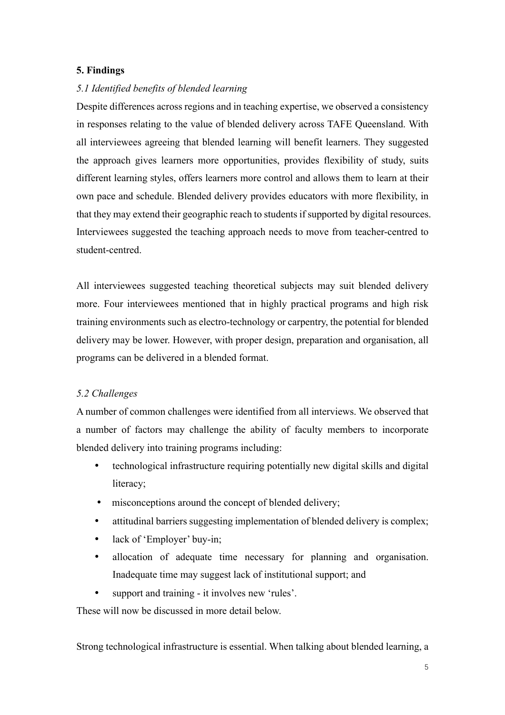## **5. Findings**

## *5.1 Identified benefits of blended learning*

Despite differences across regions and in teaching expertise, we observed a consistency in responses relating to the value of blended delivery across TAFE Queensland. With all interviewees agreeing that blended learning will benefit learners. They suggested the approach gives learners more opportunities, provides flexibility of study, suits different learning styles, offers learners more control and allows them to learn at their own pace and schedule. Blended delivery provides educators with more flexibility, in that they may extend their geographic reach to students if supported by digital resources. Interviewees suggested the teaching approach needs to move from teacher-centred to student-centred.

All interviewees suggested teaching theoretical subjects may suit blended delivery more. Four interviewees mentioned that in highly practical programs and high risk training environments such as electro-technology or carpentry, the potential for blended delivery may be lower. However, with proper design, preparation and organisation, all programs can be delivered in a blended format.

### *5.2 Challenges*

A number of common challenges were identified from all interviews. We observed that a number of factors may challenge the ability of faculty members to incorporate blended delivery into training programs including:

- technological infrastructure requiring potentially new digital skills and digital literacy;
- misconceptions around the concept of blended delivery;
- attitudinal barriers suggesting implementation of blended delivery is complex;
- lack of 'Employer' buy-in;
- allocation of adequate time necessary for planning and organisation. Inadequate time may suggest lack of institutional support; and
- support and training it involves new 'rules'.

These will now be discussed in more detail below.

Strong technological infrastructure is essential. When talking about blended learning, a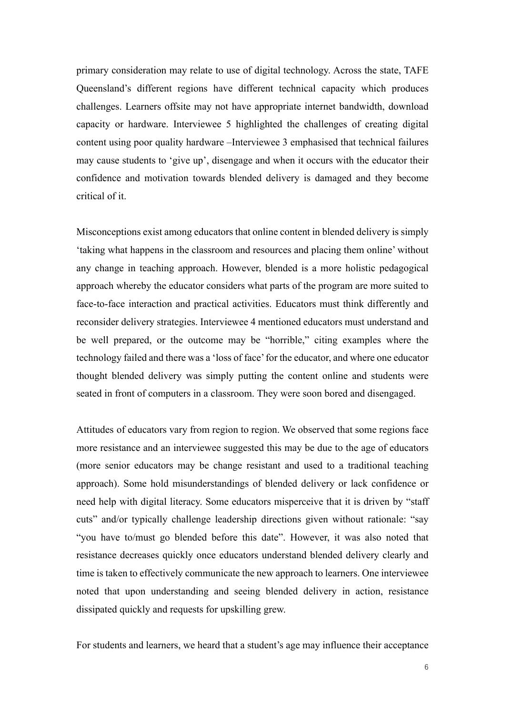primary consideration may relate to use of digital technology. Across the state, TAFE Queensland's different regions have different technical capacity which produces challenges. Learners offsite may not have appropriate internet bandwidth, download capacity or hardware. Interviewee 5 highlighted the challenges of creating digital content using poor quality hardware –Interviewee 3 emphasised that technical failures may cause students to 'give up', disengage and when it occurs with the educator their confidence and motivation towards blended delivery is damaged and they become critical of it.

Misconceptions exist among educators that online content in blended delivery is simply 'taking what happens in the classroom and resources and placing them online' without any change in teaching approach. However, blended is a more holistic pedagogical approach whereby the educator considers what parts of the program are more suited to face-to-face interaction and practical activities. Educators must think differently and reconsider delivery strategies. Interviewee 4 mentioned educators must understand and be well prepared, or the outcome may be "horrible," citing examples where the technology failed and there was a 'loss of face' for the educator, and where one educator thought blended delivery was simply putting the content online and students were seated in front of computers in a classroom. They were soon bored and disengaged.

Attitudes of educators vary from region to region. We observed that some regions face more resistance and an interviewee suggested this may be due to the age of educators (more senior educators may be change resistant and used to a traditional teaching approach). Some hold misunderstandings of blended delivery or lack confidence or need help with digital literacy. Some educators misperceive that it is driven by "staff cuts" and/or typically challenge leadership directions given without rationale: "say "you have to/must go blended before this date". However, it was also noted that resistance decreases quickly once educators understand blended delivery clearly and time is taken to effectively communicate the new approach to learners. One interviewee noted that upon understanding and seeing blended delivery in action, resistance dissipated quickly and requests for upskilling grew.

For students and learners, we heard that a student's age may influence their acceptance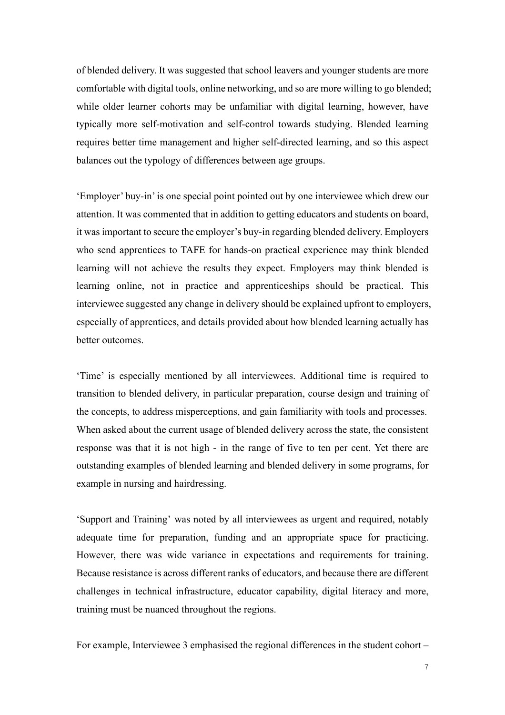of blended delivery. It was suggested that school leavers and younger students are more comfortable with digital tools, online networking, and so are more willing to go blended; while older learner cohorts may be unfamiliar with digital learning, however, have typically more self-motivation and self-control towards studying. Blended learning requires better time management and higher self-directed learning, and so this aspect balances out the typology of differences between age groups.

'Employer' buy-in' is one special point pointed out by one interviewee which drew our attention. It was commented that in addition to getting educators and students on board, it was important to secure the employer's buy-in regarding blended delivery. Employers who send apprentices to TAFE for hands-on practical experience may think blended learning will not achieve the results they expect. Employers may think blended is learning online, not in practice and apprenticeships should be practical. This interviewee suggested any change in delivery should be explained upfront to employers, especially of apprentices, and details provided about how blended learning actually has better outcomes.

'Time' is especially mentioned by all interviewees. Additional time is required to transition to blended delivery, in particular preparation, course design and training of the concepts, to address misperceptions, and gain familiarity with tools and processes. When asked about the current usage of blended delivery across the state, the consistent response was that it is not high - in the range of five to ten per cent. Yet there are outstanding examples of blended learning and blended delivery in some programs, for example in nursing and hairdressing.

'Support and Training' was noted by all interviewees as urgent and required, notably adequate time for preparation, funding and an appropriate space for practicing. However, there was wide variance in expectations and requirements for training. Because resistance is across different ranks of educators, and because there are different challenges in technical infrastructure, educator capability, digital literacy and more, training must be nuanced throughout the regions.

For example, Interviewee 3 emphasised the regional differences in the student cohort –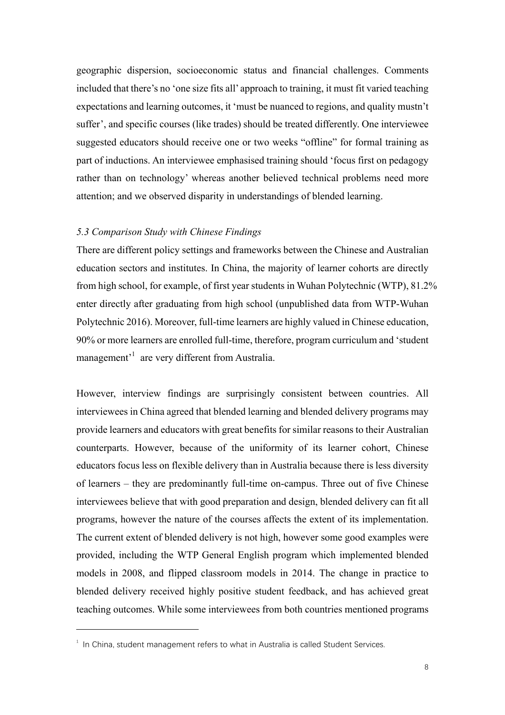geographic dispersion, socioeconomic status and financial challenges. Comments included that there's no 'one size fits all' approach to training, it must fit varied teaching expectations and learning outcomes, it 'must be nuanced to regions, and quality mustn't suffer', and specific courses (like trades) should be treated differently. One interviewee suggested educators should receive one or two weeks "offline" for formal training as part of inductions. An interviewee emphasised training should 'focus first on pedagogy rather than on technology' whereas another believed technical problems need more attention; and we observed disparity in understandings of blended learning.

#### *5.3 Comparison Study with Chinese Findings*

There are different policy settings and frameworks between the Chinese and Australian education sectors and institutes. In China, the majority of learner cohorts are directly from high school, for example, of first year students in Wuhan Polytechnic (WTP), 81.2% enter directly after graduating from high school (unpublished data from WTP-Wuhan Polytechnic 2016). Moreover, full-time learners are highly valued in Chinese education, 90% or more learners are enrolled full-time, therefore, program curriculum and 'student management<sup>1</sup> are very different from Australia.

However, interview findings are surprisingly consistent between countries. All interviewees in China agreed that blended learning and blended delivery programs may provide learners and educators with great benefits for similar reasons to their Australian counterparts. However, because of the uniformity of its learner cohort, Chinese educators focus less on flexible delivery than in Australia because there is less diversity of learners – they are predominantly full-time on-campus. Three out of five Chinese interviewees believe that with good preparation and design, blended delivery can fit all programs, however the nature of the courses affects the extent of its implementation. The current extent of blended delivery is not high, however some good examples were provided, including the WTP General English program which implemented blended models in 2008, and flipped classroom models in 2014. The change in practice to blended delivery received highly positive student feedback, and has achieved great teaching outcomes. While some interviewees from both countries mentioned programs

 $\overline{a}$ 

 $^{\rm 1}$  In China, student management refers to what in Australia is called Student Services.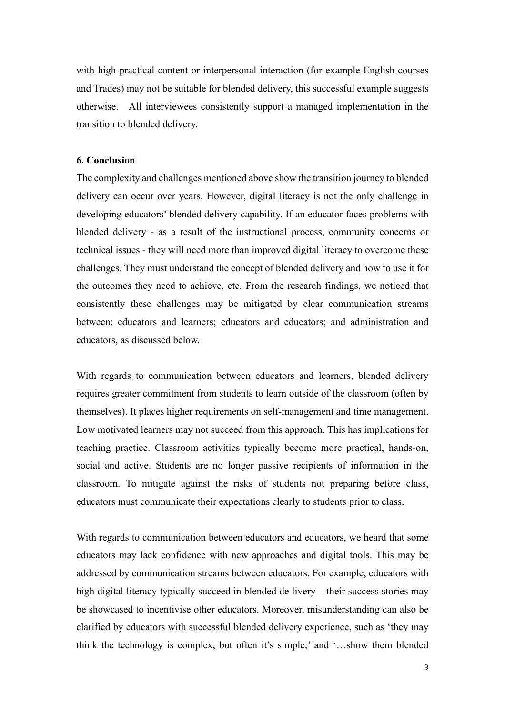with high practical content or interpersonal interaction (for example English courses and Trades) may not be suitable for blended delivery, this successful example suggests otherwise. All interviewees consistently support a managed implementation in the transition to blended delivery.

## **6. Conclusion**

The complexity and challenges mentioned above show the transition journey to blended delivery can occur over years. However, digital literacy is not the only challenge in developing educators' blended delivery capability. If an educator faces problems with blended delivery - as a result of the instructional process, community concerns or technical issues - they will need more than improved digital literacy to overcome these challenges. They must understand the concept of blended delivery and how to use it for the outcomes they need to achieve, etc. From the research findings, we noticed that consistently these challenges may be mitigated by clear communication streams between: educators and learners; educators and educators; and administration and educators, as discussed below.

With regards to communication between educators and learners, blended delivery requires greater commitment from students to learn outside of the classroom (often by themselves). It places higher requirements on self-management and time management. Low motivated learners may not succeed from this approach. This has implications for teaching practice. Classroom activities typically become more practical, hands-on, social and active. Students are no longer passive recipients of information in the classroom. To mitigate against the risks of students not preparing before class, educators must communicate their expectations clearly to students prior to class.

With regards to communication between educators and educators, we heard that some educators may lack confidence with new approaches and digital tools. This may be addressed by communication streams between educators. For example, educators with high digital literacy typically succeed in blended de livery – their success stories may be showcased to incentivise other educators. Moreover, misunderstanding can also be clarified by educators with successful blended delivery experience, such as 'they may think the technology is complex, but often it's simple;' and '…show them blended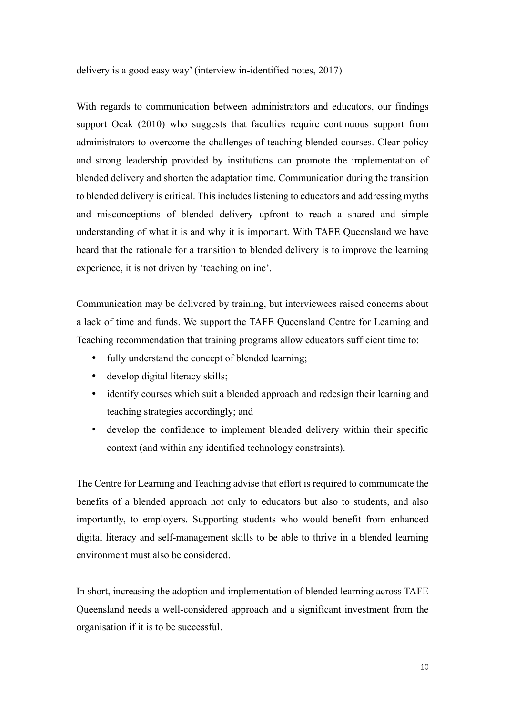delivery is a good easy way' (interview in-identified notes, 2017)

With regards to communication between administrators and educators, our findings support Ocak (2010) who suggests that faculties require continuous support from administrators to overcome the challenges of teaching blended courses. Clear policy and strong leadership provided by institutions can promote the implementation of blended delivery and shorten the adaptation time. Communication during the transition to blended delivery is critical. This includes listening to educators and addressing myths and misconceptions of blended delivery upfront to reach a shared and simple understanding of what it is and why it is important. With TAFE Queensland we have heard that the rationale for a transition to blended delivery is to improve the learning experience, it is not driven by 'teaching online'.

Communication may be delivered by training, but interviewees raised concerns about a lack of time and funds. We support the TAFE Queensland Centre for Learning and Teaching recommendation that training programs allow educators sufficient time to:

- fully understand the concept of blended learning;
- develop digital literacy skills;
- identify courses which suit a blended approach and redesign their learning and teaching strategies accordingly; and
- develop the confidence to implement blended delivery within their specific context (and within any identified technology constraints).

The Centre for Learning and Teaching advise that effort is required to communicate the benefits of a blended approach not only to educators but also to students, and also importantly, to employers. Supporting students who would benefit from enhanced digital literacy and self-management skills to be able to thrive in a blended learning environment must also be considered.

In short, increasing the adoption and implementation of blended learning across TAFE Queensland needs a well-considered approach and a significant investment from the organisation if it is to be successful.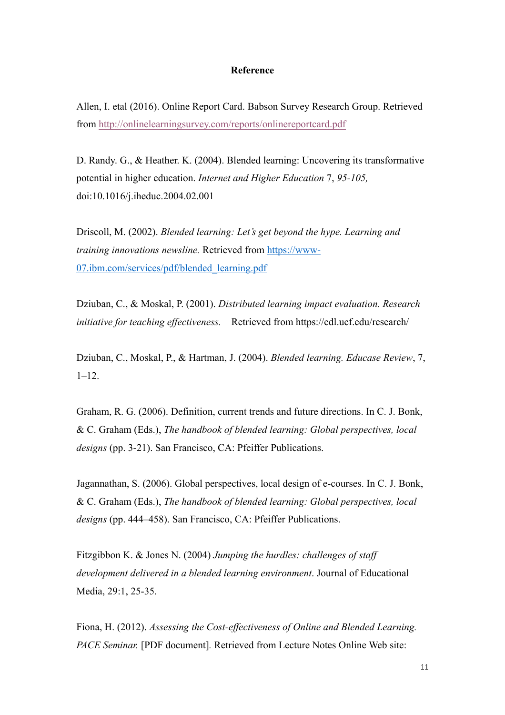#### **Reference**

Allen, I. etal (2016). Online Report Card. Babson Survey Research Group. Retrieved from http://onlinelearningsurvey.com/reports/onlinereportcard.pdf

D. Randy. G., & Heather. K. (2004). Blended learning: Uncovering its transformative potential in higher education. *Internet and Higher Education* 7, *95-105,*  doi:10.1016/j.iheduc.2004.02.001

Driscoll, M. (2002). *Blended learning: Let's get beyond the hype. Learning and training innovations newsline.* Retrieved from https://www-07.ibm.com/services/pdf/blended\_learning.pdf

Dziuban, C., & Moskal, P. (2001). *Distributed learning impact evaluation. Research initiative for teaching effectiveness.* Retrieved from https://cdl.ucf.edu/research/

Dziuban, C., Moskal, P., & Hartman, J. (2004). *Blended learning. Educase Review*, 7,  $1 - 12$ .

Graham, R. G. (2006). Definition, current trends and future directions. In C. J. Bonk, & C. Graham (Eds.), *The handbook of blended learning: Global perspectives, local designs* (pp. 3-21). San Francisco, CA: Pfeiffer Publications.

Jagannathan, S. (2006). Global perspectives, local design of e-courses. In C. J. Bonk, & C. Graham (Eds.), *The handbook of blended learning: Global perspectives, local designs* (pp. 444–458). San Francisco, CA: Pfeiffer Publications.

Fitzgibbon K. & Jones N. (2004) *Jumping the hurdles: challenges of staff development delivered in a blended learning environment*. Journal of Educational Media, 29:1, 25-35.

Fiona, H. (2012). *Assessing the Cost-effectiveness of Online and Blended Learning. PACE Seminar.* [PDF document]*.* Retrieved from Lecture Notes Online Web site: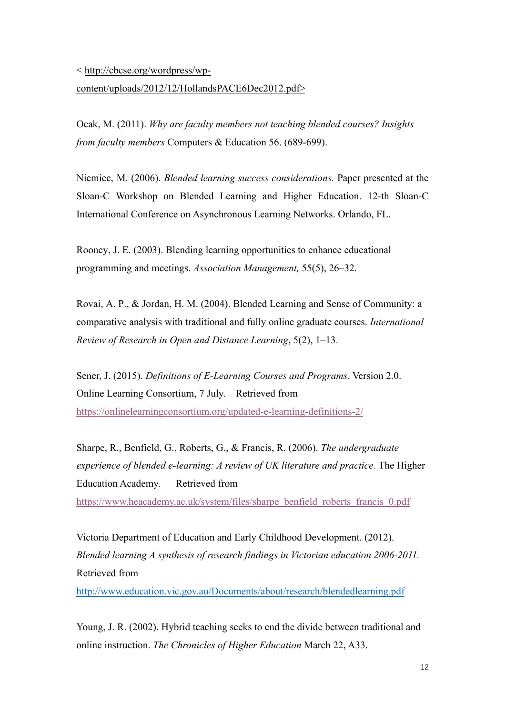#### < http://cbcse.org/wordpress/wp-

# content/uploads/2012/12/HollandsPACE6Dec2012.pdf>

Ocak, M. (2011). *Why are faculty members not teaching blended courses? Insights from faculty members* Computers & Education 56. (689-699).

Niemiec, M. (2006). *Blended learning success considerations.* Paper presented at the Sloan-C Workshop on Blended Learning and Higher Education. 12-th Sloan-C International Conference on Asynchronous Learning Networks. Orlando, FL.

Rooney, J. E. (2003). Blending learning opportunities to enhance educational programming and meetings. *Association Management,* 55(5), 26–32.

Rovai, A. P., & Jordan, H. M. (2004). Blended Learning and Sense of Community: a comparative analysis with traditional and fully online graduate courses. *International Review of Research in Open and Distance Learning*, 5(2), 1–13.

Sener, J. (2015). *Definitions of E-Learning Courses and Programs.* Version 2.0. Online Learning Consortium, 7 July. Retrieved from https://onlinelearningconsortium.org/updated-e-learning-definitions-2/

Sharpe, R., Benfield, G., Roberts, G., & Francis, R. (2006). *The undergraduate experience of blended e-learning: A review of UK literature and practice.* The Higher Education Academy. Retrieved from

https://www.heacademy.ac.uk/system/files/sharpe\_benfield\_roberts\_francis\_0.pdf

Victoria Department of Education and Early Childhood Development. (2012). *Blended learning A synthesis of research findings in Victorian education 2006-2011.*  Retrieved from

http://www.education.vic.gov.au/Documents/about/research/blendedlearning.pdf

Young, J. R. (2002). Hybrid teaching seeks to end the divide between traditional and online instruction. *The Chronicles of Higher Education* March 22, A33.